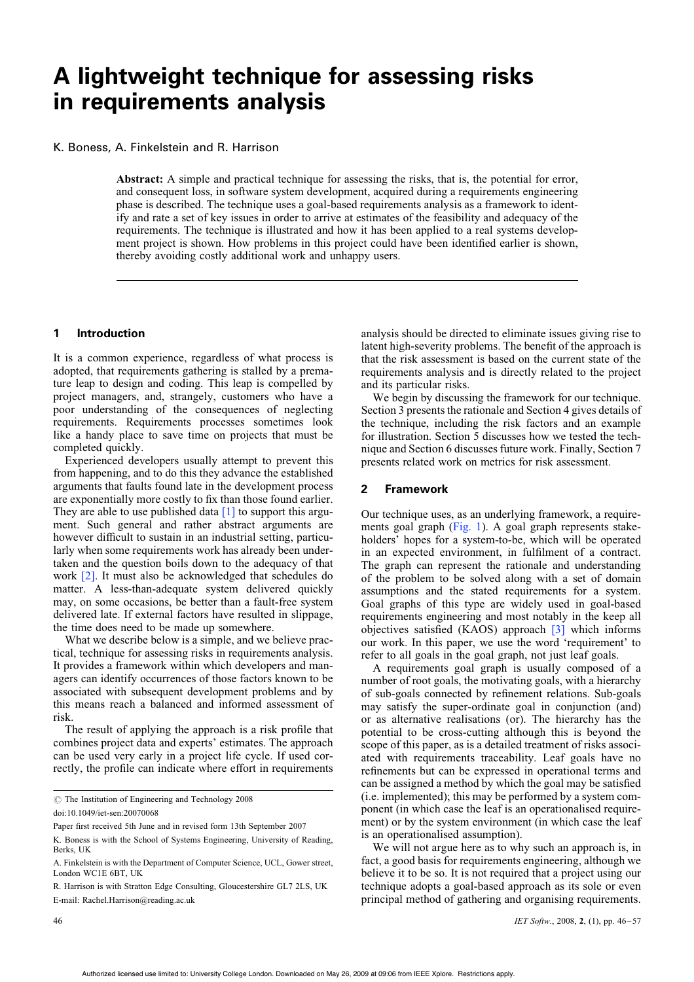# A lightweight technique for assessing risks in requirements analysis

K. Boness, A. Finkelstein and R. Harrison

Abstract: A simple and practical technique for assessing the risks, that is, the potential for error, and consequent loss, in software system development, acquired during a requirements engineering phase is described. The technique uses a goal-based requirements analysis as a framework to identify and rate a set of key issues in order to arrive at estimates of the feasibility and adequacy of the requirements. The technique is illustrated and how it has been applied to a real systems development project is shown. How problems in this project could have been identified earlier is shown, thereby avoiding costly additional work and unhappy users.

# 1 Introduction

It is a common experience, regardless of what process is adopted, that requirements gathering is stalled by a premature leap to design and coding. This leap is compelled by project managers, and, strangely, customers who have a poor understanding of the consequences of neglecting requirements. Requirements processes sometimes look like a handy place to save time on projects that must be completed quickly.

Experienced developers usually attempt to prevent this from happening, and to do this they advance the established arguments that faults found late in the development process are exponentially more costly to fix than those found earlier. They are able to use published data  $[1]$  to support this argument. Such general and rather abstract arguments are however difficult to sustain in an industrial setting, particularly when some requirements work has already been undertaken and the question boils down to the adequacy of that work [2]. It must also be acknowledged that schedules do matter. A less-than-adequate system delivered quickly may, on some occasions, be better than a fault-free system delivered late. If external factors have resulted in slippage, the time does need to be made up somewhere.

What we describe below is a simple, and we believe practical, technique for assessing risks in requirements analysis. It provides a framework within which developers and managers can identify occurrences of those factors known to be associated with subsequent development problems and by this means reach a balanced and informed assessment of risk.

The result of applying the approach is a risk profile that combines project data and experts' estimates. The approach can be used very early in a project life cycle. If used correctly, the profile can indicate where effort in requirements

 $\circ$  The Institution of Engineering and Technology 2008

doi:10.1049/iet-sen:20070068

analysis should be directed to eliminate issues giving rise to latent high-severity problems. The benefit of the approach is that the risk assessment is based on the current state of the requirements analysis and is directly related to the project and its particular risks.

We begin by discussing the framework for our technique. Section 3 presents the rationale and Section 4 gives details of the technique, including the risk factors and an example for illustration. Section 5 discusses how we tested the technique and Section 6 discusses future work. Finally, Section 7 presents related work on metrics for risk assessment.

# 2 Framework

Our technique uses, as an underlying framework, a requirements goal graph (Fig. 1). A goal graph represents stakeholders' hopes for a system-to-be, which will be operated in an expected environment, in fulfilment of a contract. The graph can represent the rationale and understanding of the problem to be solved along with a set of domain assumptions and the stated requirements for a system. Goal graphs of this type are widely used in goal-based requirements engineering and most notably in the keep all objectives satisfied (KAOS) approach [3] which informs our work. In this paper, we use the word 'requirement' to refer to all goals in the goal graph, not just leaf goals.

A requirements goal graph is usually composed of a number of root goals, the motivating goals, with a hierarchy of sub-goals connected by refinement relations. Sub-goals may satisfy the super-ordinate goal in conjunction (and) or as alternative realisations (or). The hierarchy has the potential to be cross-cutting although this is beyond the scope of this paper, as is a detailed treatment of risks associated with requirements traceability. Leaf goals have no refinements but can be expressed in operational terms and can be assigned a method by which the goal may be satisfied (i.e. implemented); this may be performed by a system component (in which case the leaf is an operationalised requirement) or by the system environment (in which case the leaf is an operationalised assumption).

We will not argue here as to why such an approach is, in fact, a good basis for requirements engineering, although we believe it to be so. It is not required that a project using our technique adopts a goal-based approach as its sole or even principal method of gathering and organising requirements.

Paper first received 5th June and in revised form 13th September 2007

K. Boness is with the School of Systems Engineering, University of Reading, Berks, UK

A. Finkelstein is with the Department of Computer Science, UCL, Gower street, London WC1E 6BT, UK

R. Harrison is with Stratton Edge Consulting, Gloucestershire GL7 2LS, UK E-mail: Rachel.Harrison@reading.ac.uk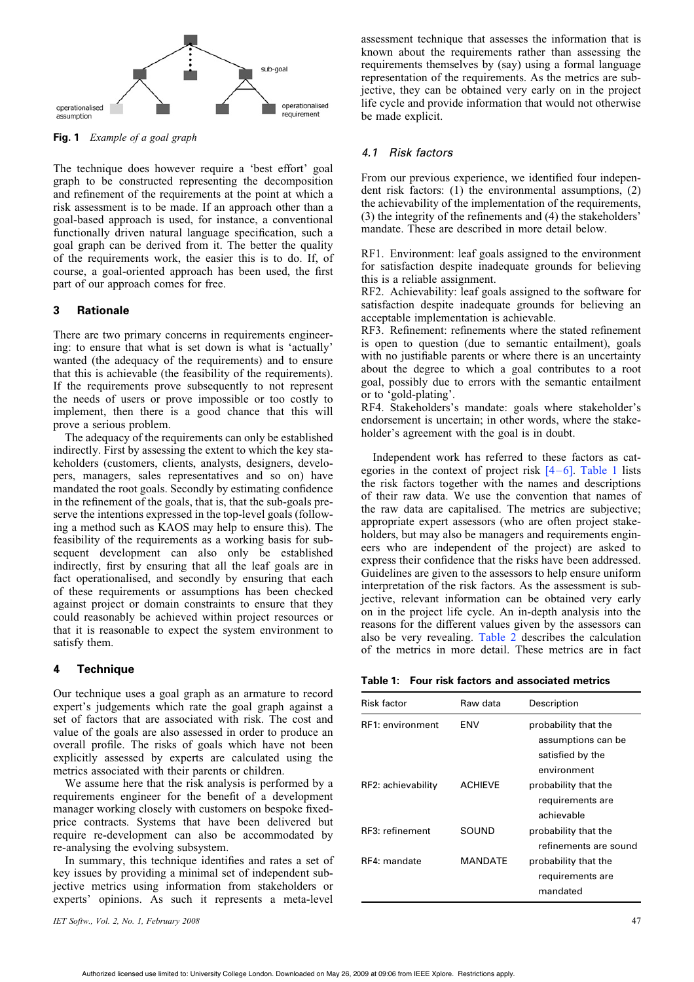

Fig. 1 Example of a goal graph

The technique does however require a 'best effort' goal graph to be constructed representing the decomposition and refinement of the requirements at the point at which a risk assessment is to be made. If an approach other than a goal-based approach is used, for instance, a conventional functionally driven natural language specification, such a goal graph can be derived from it. The better the quality of the requirements work, the easier this is to do. If, of course, a goal-oriented approach has been used, the first part of our approach comes for free.

# 3 Rationale

There are two primary concerns in requirements engineering: to ensure that what is set down is what is 'actually' wanted (the adequacy of the requirements) and to ensure that this is achievable (the feasibility of the requirements). If the requirements prove subsequently to not represent the needs of users or prove impossible or too costly to implement, then there is a good chance that this will prove a serious problem.

The adequacy of the requirements can only be established indirectly. First by assessing the extent to which the key stakeholders (customers, clients, analysts, designers, developers, managers, sales representatives and so on) have mandated the root goals. Secondly by estimating confidence in the refinement of the goals, that is, that the sub-goals preserve the intentions expressed in the top-level goals (following a method such as KAOS may help to ensure this). The feasibility of the requirements as a working basis for subsequent development can also only be established indirectly, first by ensuring that all the leaf goals are in fact operationalised, and secondly by ensuring that each of these requirements or assumptions has been checked against project or domain constraints to ensure that they could reasonably be achieved within project resources or that it is reasonable to expect the system environment to satisfy them.

# 4 Technique

Our technique uses a goal graph as an armature to record expert's judgements which rate the goal graph against a set of factors that are associated with risk. The cost and value of the goals are also assessed in order to produce an overall profile. The risks of goals which have not been explicitly assessed by experts are calculated using the metrics associated with their parents or children.

We assume here that the risk analysis is performed by a requirements engineer for the benefit of a development manager working closely with customers on bespoke fixedprice contracts. Systems that have been delivered but require re-development can also be accommodated by re-analysing the evolving subsystem.

In summary, this technique identifies and rates a set of key issues by providing a minimal set of independent subjective metrics using information from stakeholders or experts' opinions. As such it represents a meta-level

 $IET$  Softw., Vol. 2, No. 1, February 2008  $47$ 

assessment technique that assesses the information that is known about the requirements rather than assessing the requirements themselves by (say) using a formal language representation of the requirements. As the metrics are subjective, they can be obtained very early on in the project life cycle and provide information that would not otherwise be made explicit.

#### 4.1 Risk factors

From our previous experience, we identified four independent risk factors: (1) the environmental assumptions, (2) the achievability of the implementation of the requirements, (3) the integrity of the refinements and (4) the stakeholders' mandate. These are described in more detail below.

RF1. Environment: leaf goals assigned to the environment for satisfaction despite inadequate grounds for believing this is a reliable assignment.

RF2. Achievability: leaf goals assigned to the software for satisfaction despite inadequate grounds for believing an acceptable implementation is achievable.

RF3. Refinement: refinements where the stated refinement is open to question (due to semantic entailment), goals with no justifiable parents or where there is an uncertainty about the degree to which a goal contributes to a root goal, possibly due to errors with the semantic entailment or to 'gold-plating'.

RF4. Stakeholders's mandate: goals where stakeholder's endorsement is uncertain; in other words, where the stakeholder's agreement with the goal is in doubt.

Independent work has referred to these factors as categories in the context of project risk  $[4-6]$ . Table 1 lists the risk factors together with the names and descriptions of their raw data. We use the convention that names of the raw data are capitalised. The metrics are subjective; appropriate expert assessors (who are often project stakeholders, but may also be managers and requirements engineers who are independent of the project) are asked to express their confidence that the risks have been addressed. Guidelines are given to the assessors to help ensure uniform interpretation of the risk factors. As the assessment is subjective, relevant information can be obtained very early on in the project life cycle. An in-depth analysis into the reasons for the different values given by the assessors can also be very revealing. Table 2 describes the calculation of the metrics in more detail. These metrics are in fact

| Table 1: Four risk factors and associated metrics |
|---------------------------------------------------|
|---------------------------------------------------|

| <b>Risk factor</b> | Raw data       | Description           |
|--------------------|----------------|-----------------------|
| RF1: environment   | <b>FNV</b>     | probability that the  |
|                    |                | assumptions can be    |
|                    |                | satisfied by the      |
|                    |                | environment           |
| RF2: achievability | <b>ACHIFVF</b> | probability that the  |
|                    |                | requirements are      |
|                    |                | achievable            |
| RF3: refinement    | SOUND          | probability that the  |
|                    |                | refinements are sound |
| RF4: mandate       | <b>MANDATF</b> | probability that the  |
|                    |                | requirements are      |
|                    |                | mandated              |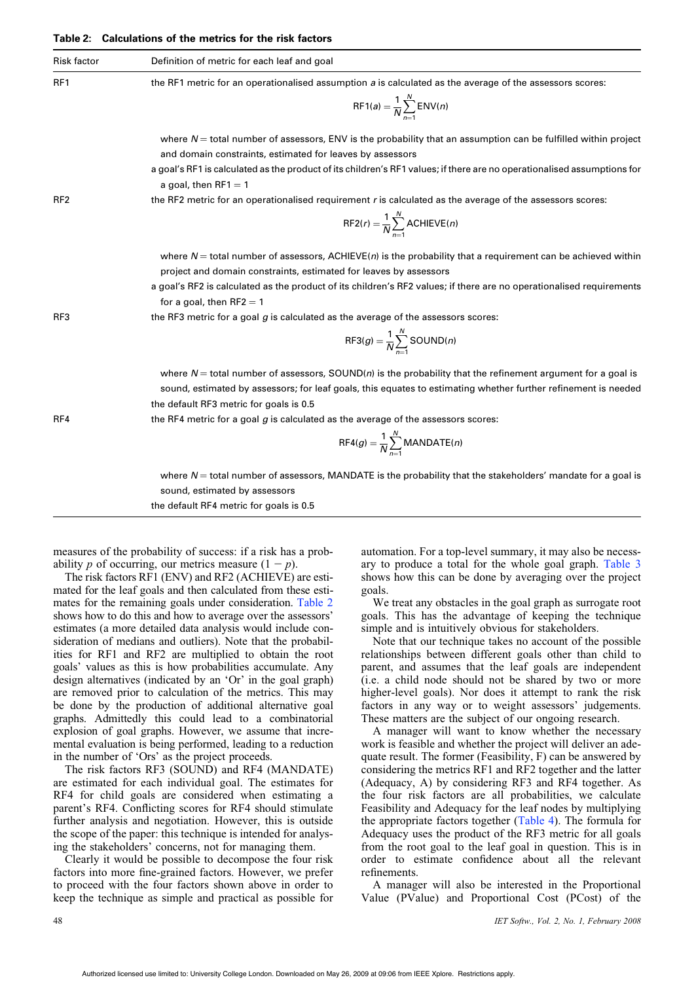| Risk factor     | Definition of metric for each leaf and goal                                                                                                                                                                                                                                |
|-----------------|----------------------------------------------------------------------------------------------------------------------------------------------------------------------------------------------------------------------------------------------------------------------------|
| RF <sub>1</sub> | the RF1 metric for an operationalised assumption a is calculated as the average of the assessors scores:                                                                                                                                                                   |
|                 | $RF1(a) = \frac{1}{N} \sum_{n=1}^{N} ENV(n)$                                                                                                                                                                                                                               |
|                 | where $N =$ total number of assessors, ENV is the probability that an assumption can be fulfilled within project<br>and domain constraints, estimated for leaves by assessors                                                                                              |
|                 | a goal's RF1 is calculated as the product of its children's RF1 values; if there are no operationalised assumptions for<br>a goal, then $RF1 = 1$                                                                                                                          |
| RF <sub>2</sub> | the RF2 metric for an operationalised requirement r is calculated as the average of the assessors scores:                                                                                                                                                                  |
|                 | $RF2(r) = \frac{1}{N}\sum_{n=1}^{N}$ ACHIEVE( <i>n</i> )                                                                                                                                                                                                                   |
|                 | where $N =$ total number of assessors, ACHIEVE(n) is the probability that a requirement can be achieved within<br>project and domain constraints, estimated for leaves by assessors                                                                                        |
|                 | a goal's RF2 is calculated as the product of its children's RF2 values; if there are no operationalised requirements<br>for a goal, then $RF2 = 1$                                                                                                                         |
| RF3             | the RF3 metric for a goal $g$ is calculated as the average of the assessors scores:                                                                                                                                                                                        |
|                 | RF3(g) = $\frac{1}{N} \sum_{n=1}^{N}$ SOUND(n)                                                                                                                                                                                                                             |
|                 | where $N =$ total number of assessors, SOUND(n) is the probability that the refinement argument for a goal is<br>sound, estimated by assessors; for leaf goals, this equates to estimating whether further refinement is needed<br>the default RF3 metric for goals is 0.5 |
| RF4             | the RF4 metric for a goal g is calculated as the average of the assessors scores:                                                                                                                                                                                          |
|                 | $RF4(g) = \frac{1}{N} \sum_{n=1}^{N} \text{MANDATE}(n)$                                                                                                                                                                                                                    |
|                 | where $N =$ total number of assessors, MANDATE is the probability that the stakeholders' mandate for a goal is<br>sound, estimated by assessors                                                                                                                            |
|                 | the default RF4 metric for goals is 0.5                                                                                                                                                                                                                                    |

measures of the probability of success: if a risk has a probability p of occurring, our metrics measure  $(1 - p)$ .

The risk factors RF1 (ENV) and RF2 (ACHIEVE) are estimated for the leaf goals and then calculated from these estimates for the remaining goals under consideration. Table 2 shows how to do this and how to average over the assessors' estimates (a more detailed data analysis would include consideration of medians and outliers). Note that the probabilities for RF1 and RF2 are multiplied to obtain the root goals' values as this is how probabilities accumulate. Any design alternatives (indicated by an 'Or' in the goal graph) are removed prior to calculation of the metrics. This may be done by the production of additional alternative goal graphs. Admittedly this could lead to a combinatorial explosion of goal graphs. However, we assume that incremental evaluation is being performed, leading to a reduction in the number of 'Ors' as the project proceeds.

The risk factors RF3 (SOUND) and RF4 (MANDATE) are estimated for each individual goal. The estimates for RF4 for child goals are considered when estimating a parent's RF4. Conflicting scores for RF4 should stimulate further analysis and negotiation. However, this is outside the scope of the paper: this technique is intended for analysing the stakeholders' concerns, not for managing them.

Clearly it would be possible to decompose the four risk factors into more fine-grained factors. However, we prefer to proceed with the four factors shown above in order to keep the technique as simple and practical as possible for automation. For a top-level summary, it may also be necessary to produce a total for the whole goal graph. Table 3 shows how this can be done by averaging over the project goals.

We treat any obstacles in the goal graph as surrogate root goals. This has the advantage of keeping the technique simple and is intuitively obvious for stakeholders.

Note that our technique takes no account of the possible relationships between different goals other than child to parent, and assumes that the leaf goals are independent (i.e. a child node should not be shared by two or more higher-level goals). Nor does it attempt to rank the risk factors in any way or to weight assessors' judgements. These matters are the subject of our ongoing research.

A manager will want to know whether the necessary work is feasible and whether the project will deliver an adequate result. The former (Feasibility, F) can be answered by considering the metrics RF1 and RF2 together and the latter (Adequacy, A) by considering RF3 and RF4 together. As the four risk factors are all probabilities, we calculate Feasibility and Adequacy for the leaf nodes by multiplying the appropriate factors together (Table 4). The formula for Adequacy uses the product of the RF3 metric for all goals from the root goal to the leaf goal in question. This is in order to estimate confidence about all the relevant refinements.

A manager will also be interested in the Proportional Value (PValue) and Proportional Cost (PCost) of the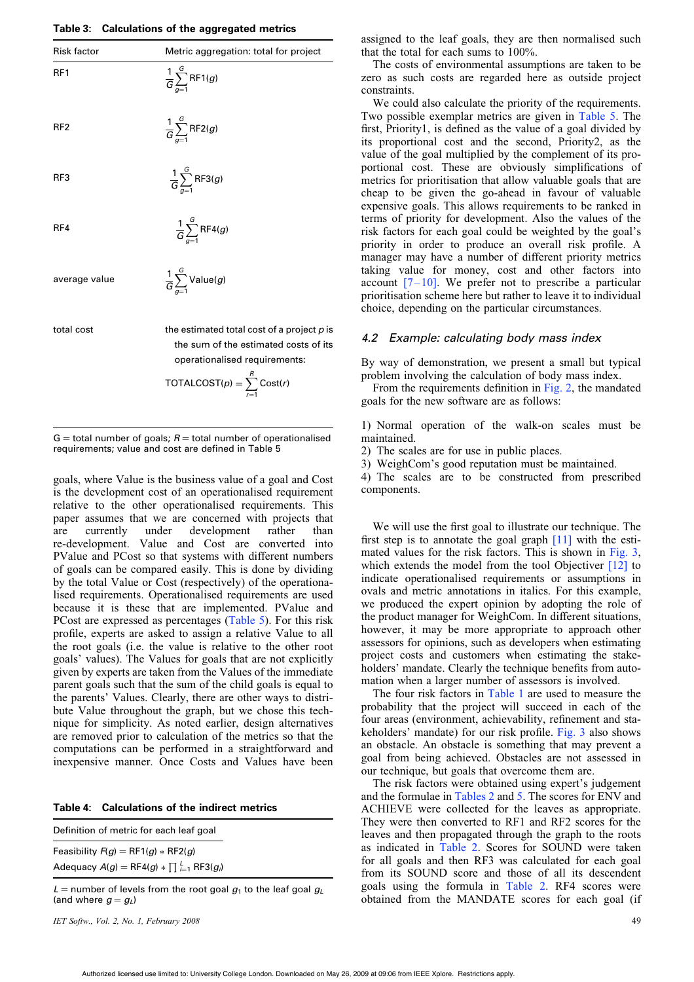Table 3: Calculations of the aggregated metrics

| Risk factor     | Metric aggregation: total for project          |
|-----------------|------------------------------------------------|
| RF <sub>1</sub> | $\frac{1}{G}\sum_{n=1}^{G}$ RF1(g)             |
| RF <sub>2</sub> | $\frac{1}{G}\sum_{n=1}^{G}$ RF2(g)             |
| RF3             | $\frac{1}{G}\sum_{\alpha=1}^{G}$ RF3(g)        |
| RF4             | $\frac{1}{G}\sum_{\alpha=1}^{G} \text{RF4}(g)$ |
| average value   | $\frac{1}{G}\sum_{g=1}^{G}$ Value(g)           |

total cost the estimated total cost of a project  $p$  is the sum of the estimated costs of its operationalised requirements:

$$
TOTALCOST(\rho) = \sum_{r=1}^{R} Cost(r)
$$

 $G =$  total number of goals;  $R =$  total number of operationalised requirements; value and cost are defined in Table 5

goals, where Value is the business value of a goal and Cost is the development cost of an operationalised requirement relative to the other operationalised requirements. This paper assumes that we are concerned with projects that are currently under development rather than re-development. Value and Cost are converted into PValue and PCost so that systems with different numbers of goals can be compared easily. This is done by dividing by the total Value or Cost (respectively) of the operationalised requirements. Operationalised requirements are used because it is these that are implemented. PValue and PCost are expressed as percentages (Table 5). For this risk profile, experts are asked to assign a relative Value to all the root goals (i.e. the value is relative to the other root goals' values). The Values for goals that are not explicitly given by experts are taken from the Values of the immediate parent goals such that the sum of the child goals is equal to the parents' Values. Clearly, there are other ways to distribute Value throughout the graph, but we chose this technique for simplicity. As noted earlier, design alternatives are removed prior to calculation of the metrics so that the computations can be performed in a straightforward and inexpensive manner. Once Costs and Values have been

Definition of metric for each leaf goal

Feasibility  $F(g) = RF1(g) * RF2(g)$ Adequacy  $A(g) = RF4(g) * \prod_{i=1}^L RF3(g_i)$ 

L = number of levels from the root goal  $g_1$  to the leaf goal  $g_L$ (and where  $g = g_L$ )

IET Softw., Vol. 2, No. 1, February 2008 49

assigned to the leaf goals, they are then normalised such that the total for each sums to 100%.

The costs of environmental assumptions are taken to be zero as such costs are regarded here as outside project constraints.

We could also calculate the priority of the requirements. Two possible exemplar metrics are given in Table 5. The first, Priority1, is defined as the value of a goal divided by its proportional cost and the second, Priority2, as the value of the goal multiplied by the complement of its proportional cost. These are obviously simplifications of metrics for prioritisation that allow valuable goals that are cheap to be given the go-ahead in favour of valuable expensive goals. This allows requirements to be ranked in terms of priority for development. Also the values of the risk factors for each goal could be weighted by the goal's priority in order to produce an overall risk profile. A manager may have a number of different priority metrics taking value for money, cost and other factors into account  $[7-10]$ . We prefer not to prescribe a particular prioritisation scheme here but rather to leave it to individual choice, depending on the particular circumstances.

#### 4.2 Example: calculating body mass index

By way of demonstration, we present a small but typical problem involving the calculation of body mass index.

From the requirements definition in Fig. 2, the mandated goals for the new software are as follows:

1) Normal operation of the walk-on scales must be maintained.

- 2) The scales are for use in public places.
- 3) WeighCom's good reputation must be maintained.

4) The scales are to be constructed from prescribed components.

We will use the first goal to illustrate our technique. The first step is to annotate the goal graph [11] with the estimated values for the risk factors. This is shown in Fig. 3, which extends the model from the tool Objectiver [12] to indicate operationalised requirements or assumptions in ovals and metric annotations in italics. For this example, we produced the expert opinion by adopting the role of the product manager for WeighCom. In different situations, however, it may be more appropriate to approach other assessors for opinions, such as developers when estimating project costs and customers when estimating the stakeholders' mandate. Clearly the technique benefits from automation when a larger number of assessors is involved.

The four risk factors in Table 1 are used to measure the probability that the project will succeed in each of the four areas (environment, achievability, refinement and stakeholders' mandate) for our risk profile. Fig. 3 also shows an obstacle. An obstacle is something that may prevent a goal from being achieved. Obstacles are not assessed in our technique, but goals that overcome them are.

The risk factors were obtained using expert's judgement and the formulae in Tables 2 and 5. The scores for ENV and ACHIEVE were collected for the leaves as appropriate. They were then converted to RF1 and RF2 scores for the leaves and then propagated through the graph to the roots as indicated in Table 2. Scores for SOUND were taken for all goals and then RF3 was calculated for each goal from its SOUND score and those of all its descendent goals using the formula in Table 2. RF4 scores were obtained from the MANDATE scores for each goal (if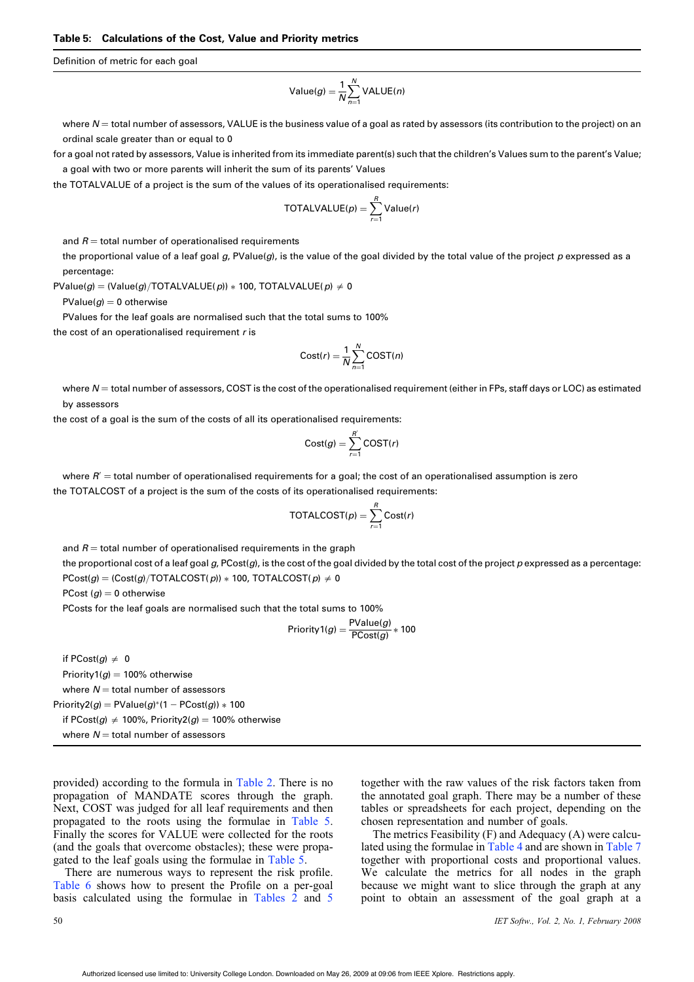Definition of metric for each goal

Value(g) = 
$$
\frac{1}{N} \sum_{n=1}^{N} \text{VALUE}(n)
$$

where  $N =$  total number of assessors, VALUE is the business value of a goal as rated by assessors (its contribution to the project) on an ordinal scale greater than or equal to 0

for a goal not rated by assessors, Value is inherited from its immediate parent(s) such that the children's Values sum to the parent's Value; a goal with two or more parents will inherit the sum of its parents' Values

the TOTALVALUE of a project is the sum of the values of its operationalised requirements:

$$
TOTALVALUE(p) = \sum_{r=1}^{R} Value(r)
$$

and  $R =$  total number of operationalised requirements

the proportional value of a leaf goal  $g$ , PValue $(g)$ , is the value of the goal divided by the total value of the project  $p$  expressed as a percentage:

 $PValue(g) = (Value(g)/TOTALVALUE(p)) * 100, TOTALVALUE(p) \neq 0$ 

 $PValue(g) = 0$  otherwise

PValues for the leaf goals are normalised such that the total sums to 100%

the cost of an operationalised requirement  $r$  is

$$
Cost(r) = \frac{1}{N} \sum_{n=1}^{N} COST(n)
$$

where  $N =$  total number of assessors, COST is the cost of the operationalised requirement (either in FPs, staff days or LOC) as estimated by assessors

the cost of a goal is the sum of the costs of all its operationalised requirements:

$$
Cost(g) = \sum_{r=1}^{R'} COST(r)
$$

where  $R'$  = total number of operationalised requirements for a goal; the cost of an operationalised assumption is zero the TOTALCOST of a project is the sum of the costs of its operationalised requirements:

$$
TOTALCOST(p) = \sum_{r=1}^{R} Cost(r)
$$

and  $R =$  total number of operationalised requirements in the graph

the proportional cost of a leaf goal  $g$ , PCost( $g$ ), is the cost of the goal divided by the total cost of the project  $p$  expressed as a percentage:  $PCost(g) = (Cost(g)/TOTALCOST(p)) * 100$ ,  $TOTALCOST(p) \neq 0$ 

PCost  $(g) = 0$  otherwise

PCosts for the leaf goals are normalised such that the total sums to 100%

$$
Priority1(g) = \frac{PValue(g)}{PCost(g)} * 100
$$

if  $PCost(g) \neq 0$ Priority1( $g$ ) = 100% otherwise where  $N =$  total number of assessors Priority2(g) = PValue(g)\*(1 – PCost(g))  $*$  100 if PCost(g)  $\neq$  100%, Priority2(g) = 100% otherwise where  $N =$  total number of assessors

provided) according to the formula in Table 2. There is no propagation of MANDATE scores through the graph. Next, COST was judged for all leaf requirements and then propagated to the roots using the formulae in Table 5. Finally the scores for VALUE were collected for the roots (and the goals that overcome obstacles); these were propagated to the leaf goals using the formulae in Table 5.

There are numerous ways to represent the risk profile. Table 6 shows how to present the Profile on a per-goal basis calculated using the formulae in Tables 2 and 5 together with the raw values of the risk factors taken from the annotated goal graph. There may be a number of these tables or spreadsheets for each project, depending on the chosen representation and number of goals.

The metrics Feasibility (F) and Adequacy (A) were calculated using the formulae in Table 4 and are shown in Table 7 together with proportional costs and proportional values. We calculate the metrics for all nodes in the graph because we might want to slice through the graph at any point to obtain an assessment of the goal graph at a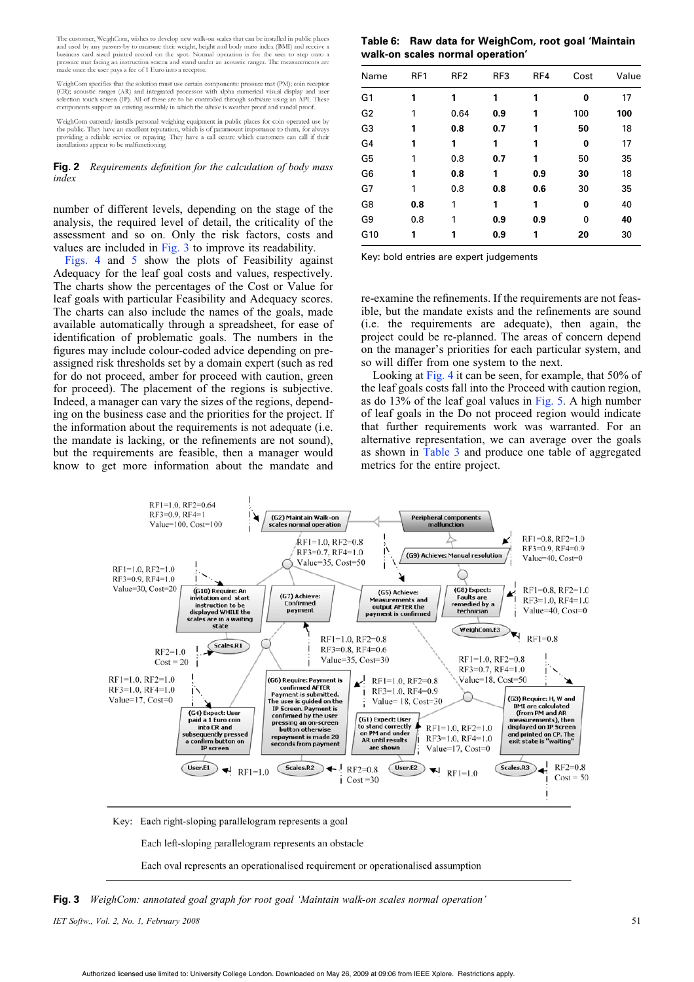The customer, WeighCom, wishes to develop new walk-on scales that can be installed in public places and used by any passers-by to measure their weight, height and body mass index (BMI) and receive a business card sized printed record on the spot. Normal operation is for the user to step onto a pressure mat facing an instruction screen and stand under an acoustic ranger. The measurements are made once the user pays a fee of 1 Euro into a receptor.

WeighCom specifies that the solution must use certain components: pressure mat (PM); coin receptor (CR); acoustic ranger (AR) and integrated processor with alpha numerical visual display and user selection touch screen (IP components support an existing assembly in which the whole is weather proof and vandal proof

WeighCom currently installs personal weighing equipment in public places for coin operated use by the public. They have an excellent reputation, which is of paramount importance to them, for always viding a reliable service or repaying. They have a call centre which customers can call if their installations appear to be malfunctioning

Fig. 2 Requirements definition for the calculation of body mass index

number of different levels, depending on the stage of the analysis, the required level of detail, the criticality of the assessment and so on. Only the risk factors, costs and values are included in Fig. 3 to improve its readability.

Figs. 4 and 5 show the plots of Feasibility against Adequacy for the leaf goal costs and values, respectively. The charts show the percentages of the Cost or Value for leaf goals with particular Feasibility and Adequacy scores. The charts can also include the names of the goals, made available automatically through a spreadsheet, for ease of identification of problematic goals. The numbers in the figures may include colour-coded advice depending on preassigned risk thresholds set by a domain expert (such as red for do not proceed, amber for proceed with caution, green for proceed). The placement of the regions is subjective. Indeed, a manager can vary the sizes of the regions, depending on the business case and the priorities for the project. If the information about the requirements is not adequate (i.e. the mandate is lacking, or the refinements are not sound), but the requirements are feasible, then a manager would know to get more information about the mandate and

Table 6: Raw data for WeighCom, root goal 'Maintain walk-on scales normal operation'

| Name           | RF1 | RF <sub>2</sub> | RF3 | RF4 | Cost | Value |
|----------------|-----|-----------------|-----|-----|------|-------|
| G <sub>1</sub> | 1   | 1               | 1   | 1   | 0    | 17    |
| G <sub>2</sub> | 1   | 0.64            | 0.9 | 1   | 100  | 100   |
| G3             | 1   | 0.8             | 0.7 | 1   | 50   | 18    |
| G <sub>4</sub> | 1   | 1               | 1   | 1   | 0    | 17    |
| G <sub>5</sub> | 1   | 0.8             | 0.7 | 1   | 50   | 35    |
| G6             | 1   | 0.8             | 1   | 0.9 | 30   | 18    |
| G7             | 1   | 0.8             | 0.8 | 0.6 | 30   | 35    |
| G8             | 0.8 | 1               | 1   | 1   | 0    | 40    |
| G9             | 0.8 | 1               | 0.9 | 0.9 | 0    | 40    |
| G10            | 1   | 1               | 0.9 | 1   | 20   | 30    |

Key: bold entries are expert judgements

re-examine the refinements. If the requirements are not feasible, but the mandate exists and the refinements are sound (i.e. the requirements are adequate), then again, the project could be re-planned. The areas of concern depend on the manager's priorities for each particular system, and so will differ from one system to the next.

Looking at Fig. 4 it can be seen, for example, that 50% of the leaf goals costs fall into the Proceed with caution region, as do 13% of the leaf goal values in Fig. 5. A high number of leaf goals in the Do not proceed region would indicate that further requirements work was warranted. For an alternative representation, we can average over the goals as shown in Table 3 and produce one table of aggregated metrics for the entire project.



Key: Each right-sloping parallelogram represents a goal

Each left-sloping parallelogram represents an obstacle

Each oval represents an operationalised requirement or operationalised assumption

Fig. 3 WeighCom: annotated goal graph for root goal 'Maintain walk-on scales normal operation'

IET Softw., Vol. 2, No. 1, February 2008 51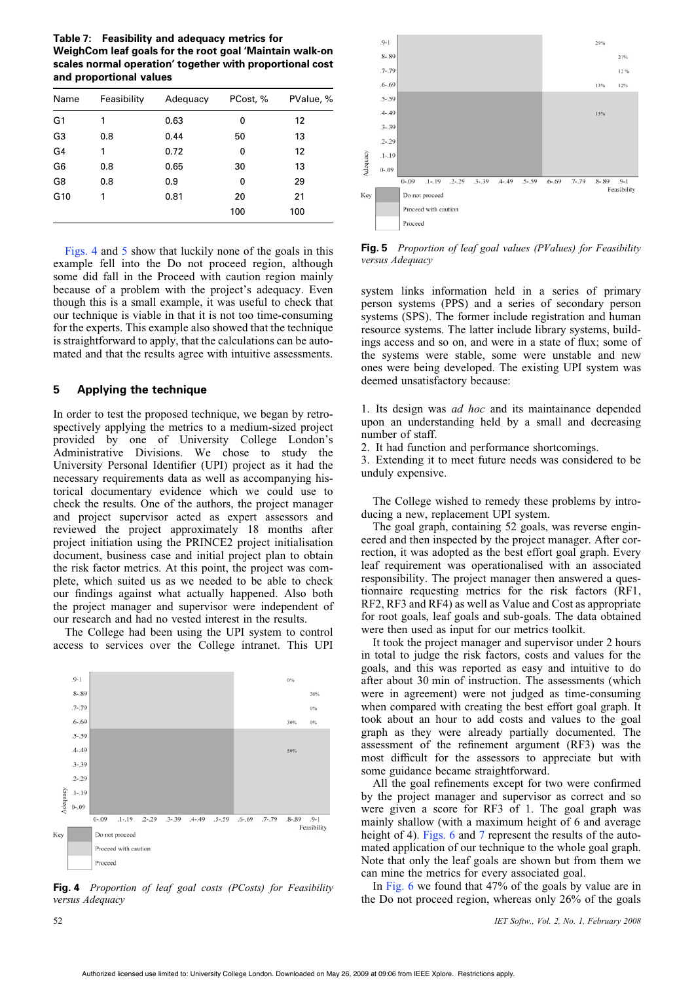Table 7: Feasibility and adequacy metrics for WeighCom leaf goals for the root goal 'Maintain walk-on scales normal operation' together with proportional cost and proportional values

| Name            | Feasibility | Adequacy | PCost, % | PValue, % |
|-----------------|-------------|----------|----------|-----------|
| G1              | 1           | 0.63     | 0        | 12        |
| G3              | 0.8         | 0.44     | 50       | 13        |
| G <sub>4</sub>  | 1           | 0.72     | 0        | 12        |
| G6              | 0.8         | 0.65     | 30       | 13        |
| G8              | 0.8         | 0.9      | 0        | 29        |
| G <sub>10</sub> | 1           | 0.81     | 20       | 21        |
|                 |             |          | 100      | 100       |

Figs. 4 and 5 show that luckily none of the goals in this example fell into the Do not proceed region, although some did fall in the Proceed with caution region mainly because of a problem with the project's adequacy. Even though this is a small example, it was useful to check that our technique is viable in that it is not too time-consuming for the experts. This example also showed that the technique is straightforward to apply, that the calculations can be automated and that the results agree with intuitive assessments.

# 5 Applying the technique

In order to test the proposed technique, we began by retrospectively applying the metrics to a medium-sized project provided by one of University College London's Administrative Divisions. We chose to study the University Personal Identifier (UPI) project as it had the necessary requirements data as well as accompanying historical documentary evidence which we could use to check the results. One of the authors, the project manager and project supervisor acted as expert assessors and reviewed the project approximately 18 months after project initiation using the PRINCE2 project initialisation document, business case and initial project plan to obtain the risk factor metrics. At this point, the project was complete, which suited us as we needed to be able to check our findings against what actually happened. Also both the project manager and supervisor were independent of our research and had no vested interest in the results.

The College had been using the UPI system to control access to services over the College intranet. This UPI



Fig. 4 Proportion of leaf goal costs (PCosts) for Feasibility versus Adeauacy



Fig. 5 Proportion of leaf goal values (PValues) for Feasibility versus Adequacy

system links information held in a series of primary person systems (PPS) and a series of secondary person systems (SPS). The former include registration and human resource systems. The latter include library systems, buildings access and so on, and were in a state of flux; some of the systems were stable, some were unstable and new ones were being developed. The existing UPI system was deemed unsatisfactory because:

1. Its design was ad hoc and its maintainance depended upon an understanding held by a small and decreasing number of staff.

2. It had function and performance shortcomings.

3. Extending it to meet future needs was considered to be unduly expensive.

The College wished to remedy these problems by introducing a new, replacement UPI system.

The goal graph, containing 52 goals, was reverse engineered and then inspected by the project manager. After correction, it was adopted as the best effort goal graph. Every leaf requirement was operationalised with an associated responsibility. The project manager then answered a questionnaire requesting metrics for the risk factors (RF1, RF2, RF3 and RF4) as well as Value and Cost as appropriate for root goals, leaf goals and sub-goals. The data obtained were then used as input for our metrics toolkit.

It took the project manager and supervisor under 2 hours in total to judge the risk factors, costs and values for the goals, and this was reported as easy and intuitive to do after about 30 min of instruction. The assessments (which were in agreement) were not judged as time-consuming when compared with creating the best effort goal graph. It took about an hour to add costs and values to the goal graph as they were already partially documented. The assessment of the refinement argument (RF3) was the most difficult for the assessors to appreciate but with some guidance became straightforward.

All the goal refinements except for two were confirmed by the project manager and supervisor as correct and so were given a score for RF3 of 1. The goal graph was mainly shallow (with a maximum height of 6 and average height of 4). Figs. 6 and 7 represent the results of the automated application of our technique to the whole goal graph. Note that only the leaf goals are shown but from them we can mine the metrics for every associated goal.

In Fig. 6 we found that 47% of the goals by value are in the Do not proceed region, whereas only 26% of the goals

52 IET Softw., Vol. 2, No. 1, February 2008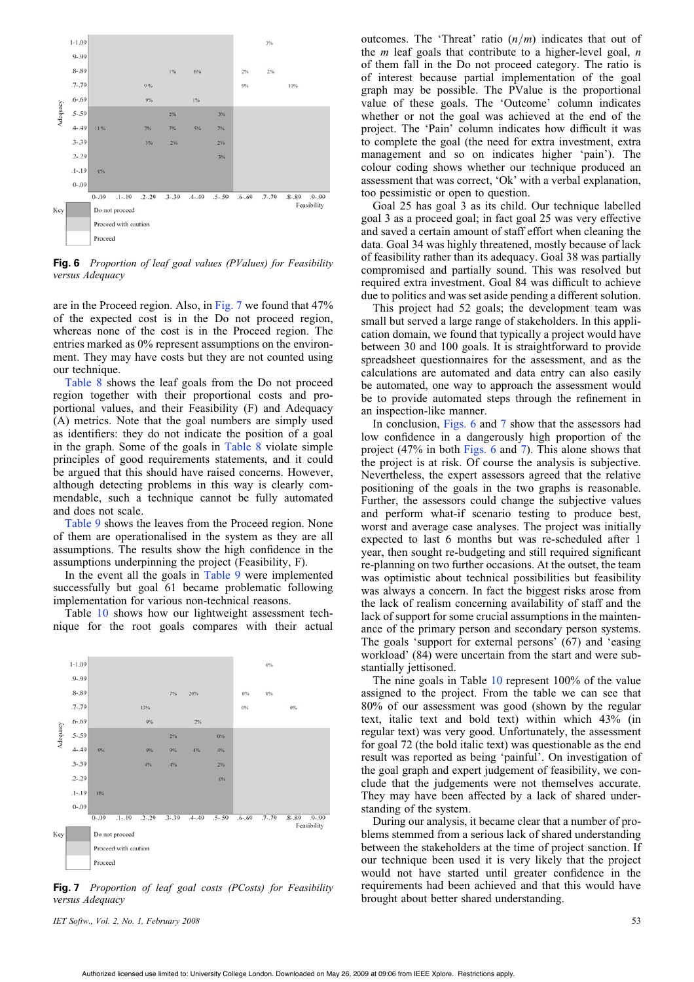

Fig. 6 Proportion of leaf goal values (PValues) for Feasibility versus Adequacy

are in the Proceed region. Also, in Fig. 7 we found that 47% of the expected cost is in the Do not proceed region, whereas none of the cost is in the Proceed region. The entries marked as 0% represent assumptions on the environment. They may have costs but they are not counted using our technique.

Table 8 shows the leaf goals from the Do not proceed region together with their proportional costs and proportional values, and their Feasibility (F) and Adequacy (A) metrics. Note that the goal numbers are simply used as identifiers: they do not indicate the position of a goal in the graph. Some of the goals in Table 8 violate simple principles of good requirements statements, and it could be argued that this should have raised concerns. However, although detecting problems in this way is clearly commendable, such a technique cannot be fully automated and does not scale.

Table 9 shows the leaves from the Proceed region. None of them are operationalised in the system as they are all assumptions. The results show the high confidence in the assumptions underpinning the project (Feasibility, F).

In the event all the goals in Table 9 were implemented successfully but goal 61 became problematic following implementation for various non-technical reasons.

Table 10 shows how our lightweight assessment technique for the root goals compares with their actual



Fig. 7 Proportion of leaf goal costs (PCosts) for Feasibility versus Adeauacy

IET Softw., Vol. 2, No. 1, February 2008 53

outcomes. The 'Threat' ratio  $(n/m)$  indicates that out of the *m* leaf goals that contribute to a higher-level goal, *n* of them fall in the Do not proceed category. The ratio is of interest because partial implementation of the goal graph may be possible. The PValue is the proportional value of these goals. The 'Outcome' column indicates whether or not the goal was achieved at the end of the project. The 'Pain' column indicates how difficult it was to complete the goal (the need for extra investment, extra management and so on indicates higher 'pain'). The colour coding shows whether our technique produced an assessment that was correct, 'Ok' with a verbal explanation, too pessimistic or open to question.

Goal 25 has goal 3 as its child. Our technique labelled goal 3 as a proceed goal; in fact goal 25 was very effective and saved a certain amount of staff effort when cleaning the data. Goal 34 was highly threatened, mostly because of lack of feasibility rather than its adequacy. Goal 38 was partially compromised and partially sound. This was resolved but required extra investment. Goal 84 was difficult to achieve due to politics and was set aside pending a different solution.

This project had 52 goals; the development team was small but served a large range of stakeholders. In this application domain, we found that typically a project would have between 30 and 100 goals. It is straightforward to provide spreadsheet questionnaires for the assessment, and as the calculations are automated and data entry can also easily be automated, one way to approach the assessment would be to provide automated steps through the refinement in an inspection-like manner.

In conclusion, Figs. 6 and 7 show that the assessors had low confidence in a dangerously high proportion of the project (47% in both Figs. 6 and 7). This alone shows that the project is at risk. Of course the analysis is subjective. Nevertheless, the expert assessors agreed that the relative positioning of the goals in the two graphs is reasonable. Further, the assessors could change the subjective values and perform what-if scenario testing to produce best, worst and average case analyses. The project was initially expected to last 6 months but was re-scheduled after 1 year, then sought re-budgeting and still required significant re-planning on two further occasions. At the outset, the team was optimistic about technical possibilities but feasibility was always a concern. In fact the biggest risks arose from the lack of realism concerning availability of staff and the lack of support for some crucial assumptions in the maintenance of the primary person and secondary person systems. The goals 'support for external persons' (67) and 'easing workload' (84) were uncertain from the start and were substantially jettisoned.

The nine goals in Table 10 represent 100% of the value assigned to the project. From the table we can see that 80% of our assessment was good (shown by the regular text, italic text and bold text) within which 43% (in regular text) was very good. Unfortunately, the assessment for goal 72 (the bold italic text) was questionable as the end result was reported as being 'painful'. On investigation of the goal graph and expert judgement of feasibility, we conclude that the judgements were not themselves accurate. They may have been affected by a lack of shared understanding of the system.

During our analysis, it became clear that a number of problems stemmed from a serious lack of shared understanding between the stakeholders at the time of project sanction. If our technique been used it is very likely that the project would not have started until greater confidence in the requirements had been achieved and that this would have brought about better shared understanding.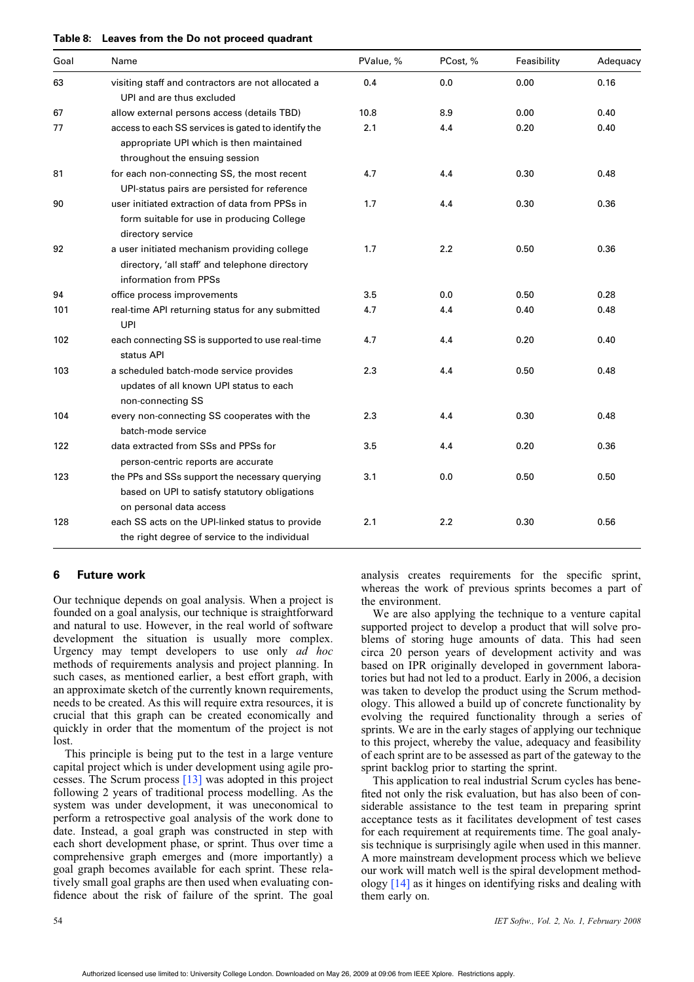#### Table 8: Leaves from the Do not proceed quadrant

| Goal | Name                                                                                                                              | PValue, % | PCost, % | Feasibility | Adequacy |
|------|-----------------------------------------------------------------------------------------------------------------------------------|-----------|----------|-------------|----------|
| 63   | visiting staff and contractors are not allocated a                                                                                | 0.4       | 0.0      | 0.00        | 0.16     |
|      | UPI and are thus excluded                                                                                                         |           |          |             |          |
| 67   | allow external persons access (details TBD)                                                                                       | 10.8      | 8.9      | 0.00        | 0.40     |
| 77   | access to each SS services is gated to identify the<br>appropriate UPI which is then maintained<br>throughout the ensuing session | 2.1       | 4.4      | 0.20        | 0.40     |
| 81   | for each non-connecting SS, the most recent<br>UPI-status pairs are persisted for reference                                       | 4.7       | 4.4      | 0.30        | 0.48     |
| 90   | user initiated extraction of data from PPSs in<br>form suitable for use in producing College<br>directory service                 | 1.7       | 4.4      | 0.30        | 0.36     |
| 92   | a user initiated mechanism providing college<br>directory, 'all staff' and telephone directory<br>information from PPSs           | 1.7       | 2.2      | 0.50        | 0.36     |
| 94   | office process improvements                                                                                                       | 3.5       | 0.0      | 0.50        | 0.28     |
| 101  | real-time API returning status for any submitted<br>UPI                                                                           | 4.7       | 4.4      | 0.40        | 0.48     |
| 102  | each connecting SS is supported to use real-time<br>status API                                                                    | 4.7       | 4.4      | 0.20        | 0.40     |
| 103  | a scheduled batch-mode service provides<br>updates of all known UPI status to each<br>non-connecting SS                           | 2.3       | 4.4      | 0.50        | 0.48     |
| 104  | every non-connecting SS cooperates with the<br>batch-mode service                                                                 | 2.3       | 4.4      | 0.30        | 0.48     |
| 122  | data extracted from SSs and PPSs for<br>person-centric reports are accurate                                                       | 3.5       | 4.4      | 0.20        | 0.36     |
| 123  | the PPs and SSs support the necessary querying<br>based on UPI to satisfy statutory obligations<br>on personal data access        | 3.1       | 0.0      | 0.50        | 0.50     |
| 128  | each SS acts on the UPI-linked status to provide<br>the right degree of service to the individual                                 | 2.1       | 2.2      | 0.30        | 0.56     |

# 6 Future work

Our technique depends on goal analysis. When a project is founded on a goal analysis, our technique is straightforward and natural to use. However, in the real world of software development the situation is usually more complex. Urgency may tempt developers to use only ad hoc methods of requirements analysis and project planning. In such cases, as mentioned earlier, a best effort graph, with an approximate sketch of the currently known requirements, needs to be created. As this will require extra resources, it is crucial that this graph can be created economically and quickly in order that the momentum of the project is not lost.

This principle is being put to the test in a large venture capital project which is under development using agile processes. The Scrum process [13] was adopted in this project following 2 years of traditional process modelling. As the system was under development, it was uneconomical to perform a retrospective goal analysis of the work done to date. Instead, a goal graph was constructed in step with each short development phase, or sprint. Thus over time a comprehensive graph emerges and (more importantly) a goal graph becomes available for each sprint. These relatively small goal graphs are then used when evaluating confidence about the risk of failure of the sprint. The goal analysis creates requirements for the specific sprint, whereas the work of previous sprints becomes a part of the environment.

We are also applying the technique to a venture capital supported project to develop a product that will solve problems of storing huge amounts of data. This had seen circa 20 person years of development activity and was based on IPR originally developed in government laboratories but had not led to a product. Early in 2006, a decision was taken to develop the product using the Scrum methodology. This allowed a build up of concrete functionality by evolving the required functionality through a series of sprints. We are in the early stages of applying our technique to this project, whereby the value, adequacy and feasibility of each sprint are to be assessed as part of the gateway to the sprint backlog prior to starting the sprint.

This application to real industrial Scrum cycles has benefited not only the risk evaluation, but has also been of considerable assistance to the test team in preparing sprint acceptance tests as it facilitates development of test cases for each requirement at requirements time. The goal analysis technique is surprisingly agile when used in this manner. A more mainstream development process which we believe our work will match well is the spiral development methodology [14] as it hinges on identifying risks and dealing with them early on.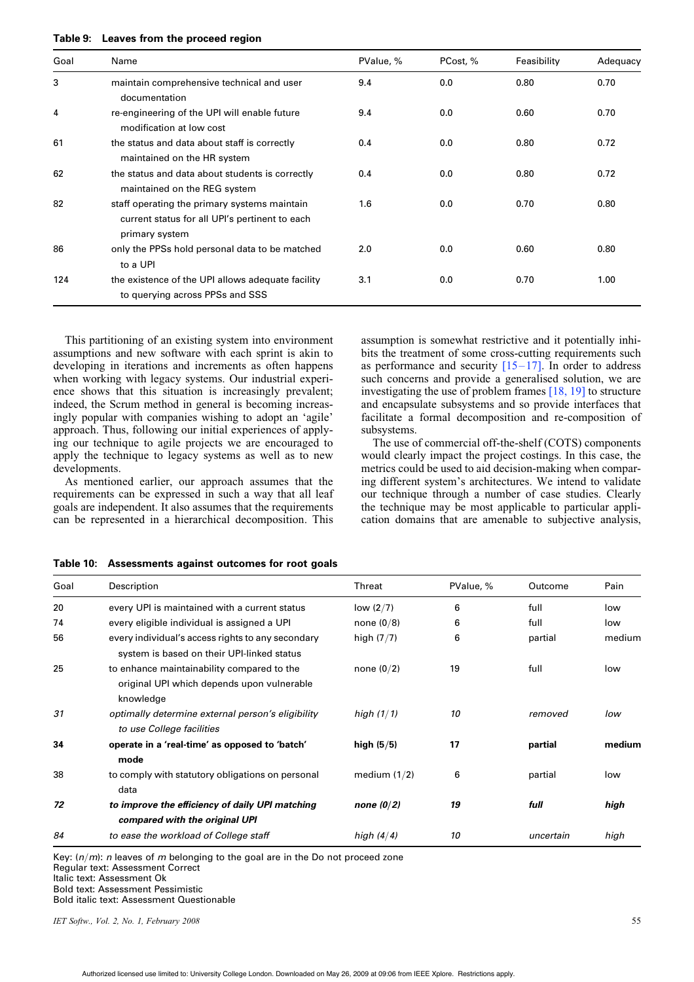#### Table 9: Leaves from the proceed region

| Goal | Name                                                                                                             | PValue, % | PCost, % | Feasibility | Adequacy |
|------|------------------------------------------------------------------------------------------------------------------|-----------|----------|-------------|----------|
| 3    | maintain comprehensive technical and user<br>documentation                                                       | 9.4       | 0.0      | 0.80        | 0.70     |
| 4    | re-engineering of the UPI will enable future<br>modification at low cost                                         | 9.4       | 0.0      | 0.60        | 0.70     |
| 61   | the status and data about staff is correctly<br>maintained on the HR system                                      | 0.4       | 0.0      | 0.80        | 0.72     |
| 62   | the status and data about students is correctly<br>maintained on the REG system                                  | 0.4       | 0.0      | 0.80        | 0.72     |
| 82   | staff operating the primary systems maintain<br>current status for all UPI's pertinent to each<br>primary system | 1.6       | 0.0      | 0.70        | 0.80     |
| 86   | only the PPSs hold personal data to be matched<br>to a UPI                                                       | 2.0       | 0.0      | 0.60        | 0.80     |
| 124  | the existence of the UPI allows adequate facility<br>to querying across PPSs and SSS                             | 3.1       | 0.0      | 0.70        | 1.00     |

This partitioning of an existing system into environment assumptions and new software with each sprint is akin to developing in iterations and increments as often happens when working with legacy systems. Our industrial experience shows that this situation is increasingly prevalent; indeed, the Scrum method in general is becoming increasingly popular with companies wishing to adopt an 'agile' approach. Thus, following our initial experiences of applying our technique to agile projects we are encouraged to apply the technique to legacy systems as well as to new developments.

As mentioned earlier, our approach assumes that the requirements can be expressed in such a way that all leaf goals are independent. It also assumes that the requirements can be represented in a hierarchical decomposition. This assumption is somewhat restrictive and it potentially inhibits the treatment of some cross-cutting requirements such as performance and security  $[15-17]$ . In order to address such concerns and provide a generalised solution, we are investigating the use of problem frames  $[18, 19]$  to structure and encapsulate subsystems and so provide interfaces that facilitate a formal decomposition and re-composition of subsystems.

The use of commercial off-the-shelf (COTS) components would clearly impact the project costings. In this case, the metrics could be used to aid decision-making when comparing different system's architectures. We intend to validate our technique through a number of case studies. Clearly the technique may be most applicable to particular application domains that are amenable to subjective analysis,

| Goal | Description                                                                                           | Threat         | PValue, % | Outcome   | Pain   |
|------|-------------------------------------------------------------------------------------------------------|----------------|-----------|-----------|--------|
| 20   | every UPI is maintained with a current status                                                         | low $(2/7)$    | 6         | full      | low    |
| 74   | every eligible individual is assigned a UPI                                                           | none $(0/8)$   | 6         | full      | low    |
| 56   | every individual's access rights to any secondary<br>system is based on their UPI-linked status       | high $(7/7)$   | 6         | partial   | medium |
| 25   | to enhance maintainability compared to the<br>original UPI which depends upon vulnerable<br>knowledge | none $(0/2)$   | 19        | full      | low    |
| 31   | optimally determine external person's eligibility<br>to use College facilities                        | high $(1/1)$   | 10        | removed   | low    |
| 34   | operate in a 'real-time' as opposed to 'batch'<br>mode                                                | high $(5/5)$   | 17        | partial   | medium |
| 38   | to comply with statutory obligations on personal<br>data                                              | medium $(1/2)$ | 6         | partial   | low    |
| 72   | to improve the efficiency of daily UPI matching<br>compared with the original UPI                     | none $(0/2)$   | 19        | full      | high   |
| 84   | to ease the workload of College staff                                                                 | high $(4/4)$   | 10        | uncertain | high   |

Table 10: Assessments against outcomes for root goals

Key:  $(n/m)$ : n leaves of m belonging to the goal are in the Do not proceed zone

Regular text: Assessment Correct

Italic text: Assessment Ok

Bold text: Assessment Pessimistic Bold italic text: Assessment Questionable

IET Softw., Vol. 2, No. 1, February 2008 55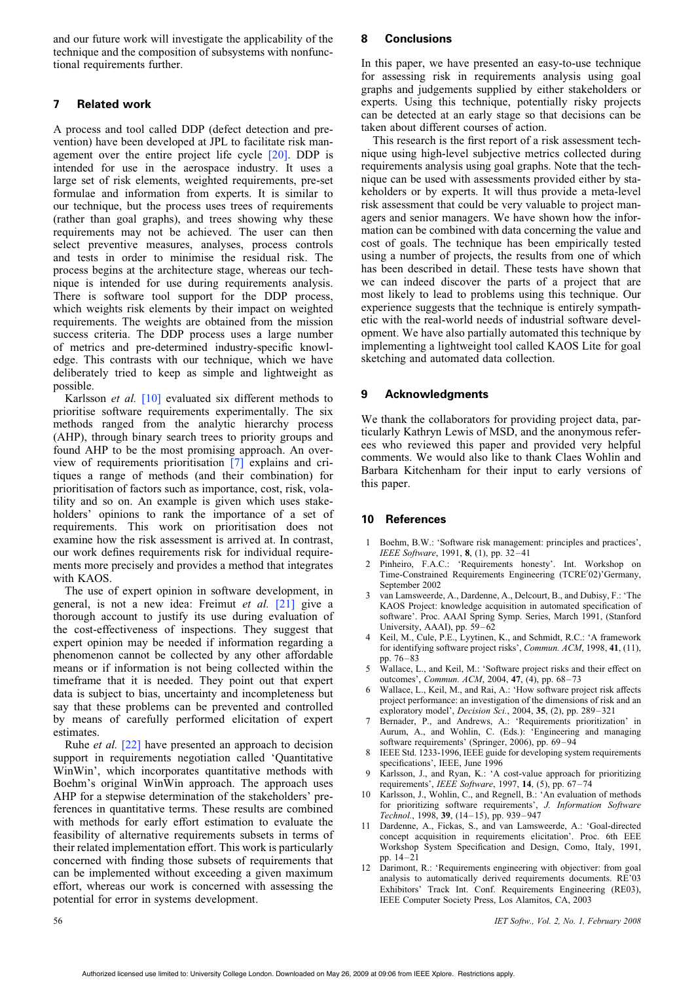and our future work will investigate the applicability of the technique and the composition of subsystems with nonfunctional requirements further.

# 7 Related work

A process and tool called DDP (defect detection and prevention) have been developed at JPL to facilitate risk management over the entire project life cycle [20]. DDP is intended for use in the aerospace industry. It uses a large set of risk elements, weighted requirements, pre-set formulae and information from experts. It is similar to our technique, but the process uses trees of requirements (rather than goal graphs), and trees showing why these requirements may not be achieved. The user can then select preventive measures, analyses, process controls and tests in order to minimise the residual risk. The process begins at the architecture stage, whereas our technique is intended for use during requirements analysis. There is software tool support for the DDP process, which weights risk elements by their impact on weighted requirements. The weights are obtained from the mission success criteria. The DDP process uses a large number of metrics and pre-determined industry-specific knowledge. This contrasts with our technique, which we have deliberately tried to keep as simple and lightweight as possible.

Karlsson *et al.* [10] evaluated six different methods to prioritise software requirements experimentally. The six methods ranged from the analytic hierarchy process (AHP), through binary search trees to priority groups and found AHP to be the most promising approach. An overview of requirements prioritisation [7] explains and critiques a range of methods (and their combination) for prioritisation of factors such as importance, cost, risk, volatility and so on. An example is given which uses stakeholders' opinions to rank the importance of a set of requirements. This work on prioritisation does not examine how the risk assessment is arrived at. In contrast, our work defines requirements risk for individual requirements more precisely and provides a method that integrates with KAOS.

The use of expert opinion in software development, in general, is not a new idea: Freimut et al. [21] give a thorough account to justify its use during evaluation of the cost-effectiveness of inspections. They suggest that expert opinion may be needed if information regarding a phenomenon cannot be collected by any other affordable means or if information is not being collected within the timeframe that it is needed. They point out that expert data is subject to bias, uncertainty and incompleteness but say that these problems can be prevented and controlled by means of carefully performed elicitation of expert estimates.

Ruhe et al. [22] have presented an approach to decision support in requirements negotiation called 'Quantitative WinWin', which incorporates quantitative methods with Boehm's original WinWin approach. The approach uses AHP for a stepwise determination of the stakeholders' preferences in quantitative terms. These results are combined with methods for early effort estimation to evaluate the feasibility of alternative requirements subsets in terms of their related implementation effort. This work is particularly concerned with finding those subsets of requirements that can be implemented without exceeding a given maximum effort, whereas our work is concerned with assessing the potential for error in systems development.

# 8 Conclusions

In this paper, we have presented an easy-to-use technique for assessing risk in requirements analysis using goal graphs and judgements supplied by either stakeholders or experts. Using this technique, potentially risky projects can be detected at an early stage so that decisions can be taken about different courses of action.

This research is the first report of a risk assessment technique using high-level subjective metrics collected during requirements analysis using goal graphs. Note that the technique can be used with assessments provided either by stakeholders or by experts. It will thus provide a meta-level risk assessment that could be very valuable to project managers and senior managers. We have shown how the information can be combined with data concerning the value and cost of goals. The technique has been empirically tested using a number of projects, the results from one of which has been described in detail. These tests have shown that we can indeed discover the parts of a project that are most likely to lead to problems using this technique. Our experience suggests that the technique is entirely sympathetic with the real-world needs of industrial software development. We have also partially automated this technique by implementing a lightweight tool called KAOS Lite for goal sketching and automated data collection.

# 9 Acknowledgments

We thank the collaborators for providing project data, particularly Kathryn Lewis of MSD, and the anonymous referees who reviewed this paper and provided very helpful comments. We would also like to thank Claes Wohlin and Barbara Kitchenham for their input to early versions of this paper.

# 10 References

- 1 Boehm, B.W.: 'Software risk management: principles and practices', IEEE Software, 1991, 8, (1), pp. 32–41
- 2 Pinheiro, F.A.C.: 'Requirements honesty'. Int. Workshop on Time-Constrained Requirements Engineering (TCRE'02)'Germany, September 2002
- van Lamsweerde, A., Dardenne, A., Delcourt, B., and Dubisy, F.: 'The KAOS Project: knowledge acquisition in automated specification of software'. Proc. AAAI Spring Symp. Series, March 1991, (Stanford University, AAAI), pp. 59-62
- 4 Keil, M., Cule, P.E., Lyytinen, K., and Schmidt, R.C.: 'A framework for identifying software project risks', Commun. ACM, 1998, 41, (11), pp. 76–83
- 5 Wallace, L., and Keil, M.: 'Software project risks and their effect on outcomes', *Commun. ACM*, 2004, 47, (4), pp. 68–73
- 6 Wallace, L., Keil, M., and Rai, A.: 'How software project risk affects project performance: an investigation of the dimensions of risk and an exploratory model', *Decision Sci.*, 2004, 35, (2), pp. 289–321
- 7 Bernader, P., and Andrews, A.: 'Requirements prioritization' in Aurum, A., and Wohlin, C. (Eds.): 'Engineering and managing software requirements' (Springer, 2006), pp. 69–94
- 8 IEEE Std. 1233-1996, IEEE guide for developing system requirements specifications', IEEE, June 1996
- 9 Karlsson, J., and Ryan, K.: 'A cost-value approach for prioritizing requirements', IEEE Software, 1997, 14, (5), pp. 67–74
- 10 Karlsson, J., Wohlin, C., and Regnell, B.: 'An evaluation of methods for prioritizing software requirements', J. Information Software Technol., 1998, 39,  $(14-15)$ , pp. 939-947
- 11 Dardenne, A., Fickas, S., and van Lamsweerde, A.: 'Goal-directed concept acquisition in requirements elicitation'. Proc. 6th EEE Workshop System Specification and Design, Como, Italy, 1991, pp.  $14-21$
- 12 Darimont, R.: 'Requirements engineering with objectiver: from goal analysis to automatically derived requirements documents. RE'03 Exhibitors' Track Int. Conf. Requirements Engineering (RE03), IEEE Computer Society Press, Los Alamitos, CA, 2003

56 IET Softw., Vol. 2, No. 1, February 2008